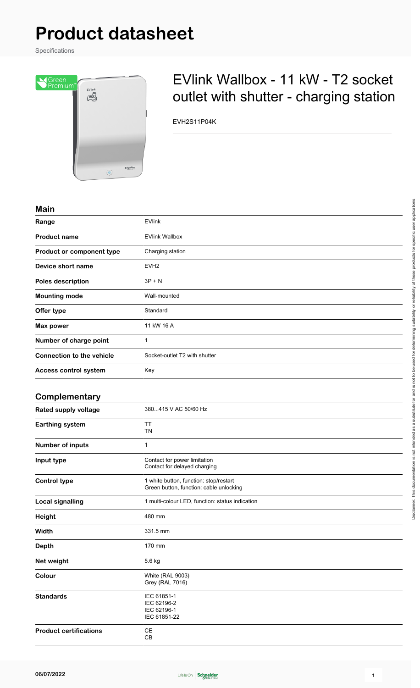# **Product datasheet**

Specifications



## EVlink Wallbox - 11 kW - T2 socket outlet with shutter - charging station

EVH2S11P04K

#### **Main**

| <b>IVIAIII</b>                   |                               |
|----------------------------------|-------------------------------|
| Range                            | <b>EVlink</b>                 |
| <b>Product name</b>              | <b>EVlink Wallbox</b>         |
| Product or component type        | Charging station              |
| Device short name                | EVH <sub>2</sub>              |
| <b>Poles description</b>         | $3P + N$                      |
| <b>Mounting mode</b>             | Wall-mounted                  |
| Offer type                       | Standard                      |
| Max power                        | 11 kW 16 A                    |
| Number of charge point           | 1                             |
| <b>Connection to the vehicle</b> | Socket-outlet T2 with shutter |
| Access control system            | Key                           |
|                                  |                               |

## **Complementary**

| Rated supply voltage          | 380415 V AC 50/60 Hz                                                              |
|-------------------------------|-----------------------------------------------------------------------------------|
| Earthing system               | <b>TT</b><br><b>TN</b>                                                            |
| Number of inputs              | 1                                                                                 |
| Input type                    | Contact for power limitation<br>Contact for delayed charging                      |
| <b>Control type</b>           | 1 white button, function: stop/restart<br>Green button, function: cable unlocking |
| <b>Local signalling</b>       | 1 multi-colour LED, function: status indication                                   |
| Height                        | 480 mm                                                                            |
| Width                         | 331.5 mm                                                                          |
| <b>Depth</b>                  | 170 mm                                                                            |
| Net weight                    | 5.6 kg                                                                            |
| Colour                        | White (RAL 9003)<br><b>Grey (RAL 7016)</b>                                        |
| <b>Standards</b>              | IEC 61851-1<br>IEC 62196-2<br>IEC 62196-1<br>IEC 61851-22                         |
| <b>Product certifications</b> | <b>CE</b><br>CB                                                                   |